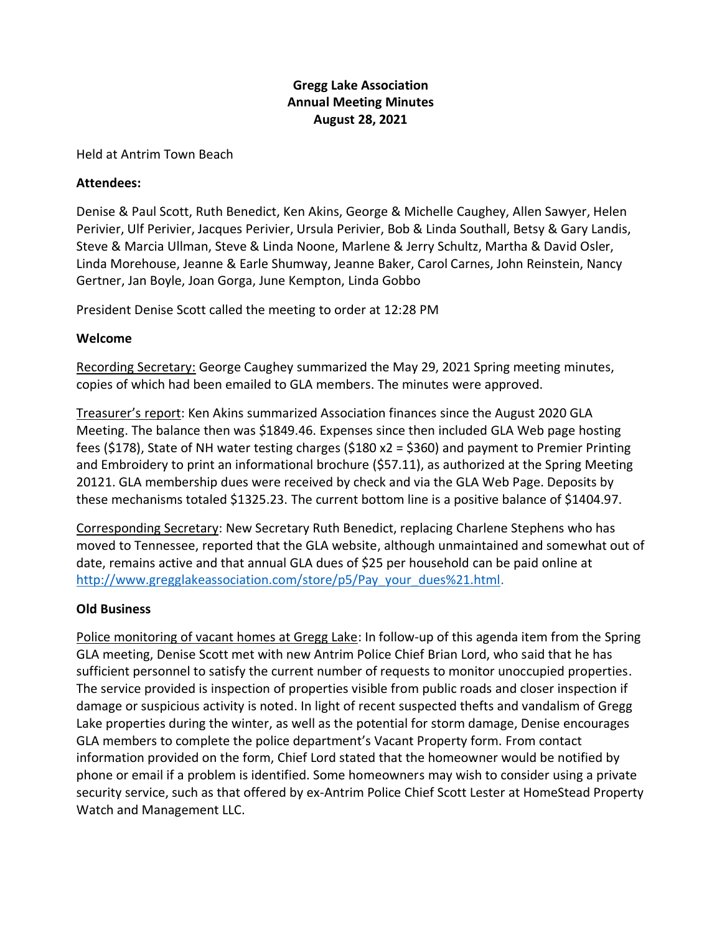# **Gregg Lake Association Annual Meeting Minutes August 28, 2021**

#### Held at Antrim Town Beach

#### **Attendees:**

Denise & Paul Scott, Ruth Benedict, Ken Akins, George & Michelle Caughey, Allen Sawyer, Helen Perivier, Ulf Perivier, Jacques Perivier, Ursula Perivier, Bob & Linda Southall, Betsy & Gary Landis, Steve & Marcia Ullman, Steve & Linda Noone, Marlene & Jerry Schultz, Martha & David Osler, Linda Morehouse, Jeanne & Earle Shumway, Jeanne Baker, Carol Carnes, John Reinstein, Nancy Gertner, Jan Boyle, Joan Gorga, June Kempton, Linda Gobbo

President Denise Scott called the meeting to order at 12:28 PM

## **Welcome**

Recording Secretary: George Caughey summarized the May 29, 2021 Spring meeting minutes, copies of which had been emailed to GLA members. The minutes were approved.

Treasurer's report: Ken Akins summarized Association finances since the August 2020 GLA Meeting. The balance then was \$1849.46. Expenses since then included GLA Web page hosting fees (\$178), State of NH water testing charges (\$180 x2 = \$360) and payment to Premier Printing and Embroidery to print an informational brochure (\$57.11), as authorized at the Spring Meeting 20121. GLA membership dues were received by check and via the GLA Web Page. Deposits by these mechanisms totaled \$1325.23. The current bottom line is a positive balance of \$1404.97.

Corresponding Secretary: New Secretary Ruth Benedict, replacing Charlene Stephens who has moved to Tennessee, reported that the GLA website, although unmaintained and somewhat out of date, remains active and that annual GLA dues of \$25 per household can be paid online at [http://www.gregglakeassociation.com/store/p5/Pay\\_your\\_dues%21.html.](http://www.gregglakeassociation.com/store/p5/Pay_your_dues%21.html)

## **Old Business**

Police monitoring of vacant homes at Gregg Lake: In follow-up of this agenda item from the Spring GLA meeting, Denise Scott met with new Antrim Police Chief Brian Lord, who said that he has sufficient personnel to satisfy the current number of requests to monitor unoccupied properties. The service provided is inspection of properties visible from public roads and closer inspection if damage or suspicious activity is noted. In light of recent suspected thefts and vandalism of Gregg Lake properties during the winter, as well as the potential for storm damage, Denise encourages GLA members to complete the police department's Vacant Property form. From contact information provided on the form, Chief Lord stated that the homeowner would be notified by phone or email if a problem is identified. Some homeowners may wish to consider using a private security service, such as that offered by ex-Antrim Police Chief Scott Lester at HomeStead Property Watch and Management LLC.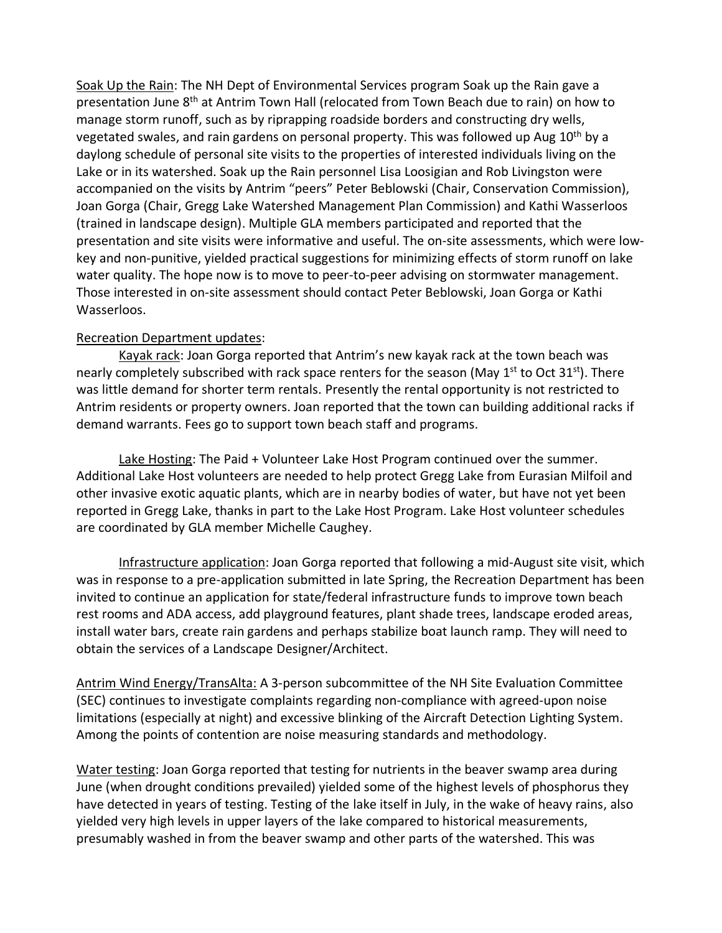Soak Up the Rain: The NH Dept of Environmental Services program Soak up the Rain gave a presentation June 8<sup>th</sup> at Antrim Town Hall (relocated from Town Beach due to rain) on how to manage storm runoff, such as by riprapping roadside borders and constructing dry wells, vegetated swales, and rain gardens on personal property. This was followed up Aug 10<sup>th</sup> by a daylong schedule of personal site visits to the properties of interested individuals living on the Lake or in its watershed. Soak up the Rain personnel Lisa Loosigian and Rob Livingston were accompanied on the visits by Antrim "peers" Peter Beblowski (Chair, Conservation Commission), Joan Gorga (Chair, Gregg Lake Watershed Management Plan Commission) and Kathi Wasserloos (trained in landscape design). Multiple GLA members participated and reported that the presentation and site visits were informative and useful. The on-site assessments, which were lowkey and non-punitive, yielded practical suggestions for minimizing effects of storm runoff on lake water quality. The hope now is to move to peer-to-peer advising on stormwater management. Those interested in on-site assessment should contact Peter Beblowski, Joan Gorga or Kathi Wasserloos.

# Recreation Department updates:

Kayak rack: Joan Gorga reported that Antrim's new kayak rack at the town beach was nearly completely subscribed with rack space renters for the season (May  $1<sup>st</sup>$  to Oct 31<sup>st</sup>). There was little demand for shorter term rentals. Presently the rental opportunity is not restricted to Antrim residents or property owners. Joan reported that the town can building additional racks if demand warrants. Fees go to support town beach staff and programs.

Lake Hosting: The Paid + Volunteer Lake Host Program continued over the summer. Additional Lake Host volunteers are needed to help protect Gregg Lake from Eurasian Milfoil and other invasive exotic aquatic plants, which are in nearby bodies of water, but have not yet been reported in Gregg Lake, thanks in part to the Lake Host Program. Lake Host volunteer schedules are coordinated by GLA member Michelle Caughey.

Infrastructure application: Joan Gorga reported that following a mid-August site visit, which was in response to a pre-application submitted in late Spring, the Recreation Department has been invited to continue an application for state/federal infrastructure funds to improve town beach rest rooms and ADA access, add playground features, plant shade trees, landscape eroded areas, install water bars, create rain gardens and perhaps stabilize boat launch ramp. They will need to obtain the services of a Landscape Designer/Architect.

Antrim Wind Energy/TransAlta: A 3-person subcommittee of the NH Site Evaluation Committee (SEC) continues to investigate complaints regarding non-compliance with agreed-upon noise limitations (especially at night) and excessive blinking of the Aircraft Detection Lighting System. Among the points of contention are noise measuring standards and methodology.

Water testing: Joan Gorga reported that testing for nutrients in the beaver swamp area during June (when drought conditions prevailed) yielded some of the highest levels of phosphorus they have detected in years of testing. Testing of the lake itself in July, in the wake of heavy rains, also yielded very high levels in upper layers of the lake compared to historical measurements, presumably washed in from the beaver swamp and other parts of the watershed. This was